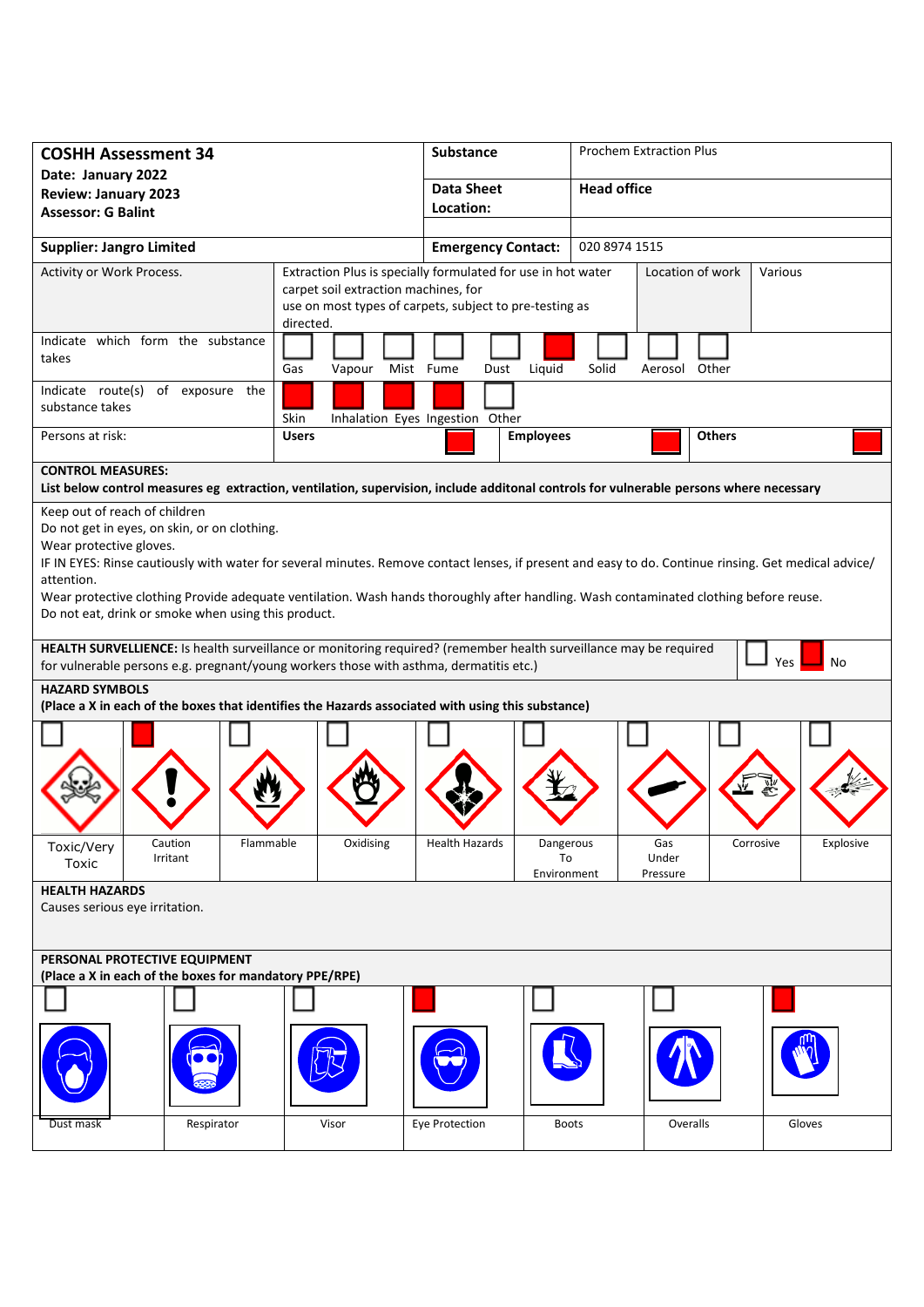| <b>COSHH Assessment 34</b>                                                                                                                                                                                  |                 |                                                                      | <b>Substance</b>                |                  | <b>Prochem Extraction Plus</b> |               |               |           |  |
|-------------------------------------------------------------------------------------------------------------------------------------------------------------------------------------------------------------|-----------------|----------------------------------------------------------------------|---------------------------------|------------------|--------------------------------|---------------|---------------|-----------|--|
| Date: January 2022                                                                                                                                                                                          |                 |                                                                      | <b>Data Sheet</b>               |                  | <b>Head office</b>             |               |               |           |  |
| <b>Review: January 2023</b><br><b>Assessor: G Balint</b>                                                                                                                                                    |                 |                                                                      | Location:                       |                  |                                |               |               |           |  |
|                                                                                                                                                                                                             |                 |                                                                      |                                 |                  |                                |               |               |           |  |
| <b>Supplier: Jangro Limited</b>                                                                                                                                                                             |                 | <b>Emergency Contact:</b>                                            |                                 | 020 8974 1515    |                                |               |               |           |  |
| Activity or Work Process.                                                                                                                                                                                   |                 | Extraction Plus is specially formulated for use in hot water         |                                 |                  | Location of work               |               |               | Various   |  |
|                                                                                                                                                                                                             |                 | carpet soil extraction machines, for                                 |                                 |                  |                                |               |               |           |  |
|                                                                                                                                                                                                             |                 | use on most types of carpets, subject to pre-testing as<br>directed. |                                 |                  |                                |               |               |           |  |
| Indicate which form the substance                                                                                                                                                                           |                 |                                                                      |                                 |                  |                                |               |               |           |  |
| takes                                                                                                                                                                                                       |                 |                                                                      |                                 |                  |                                |               |               |           |  |
|                                                                                                                                                                                                             |                 | Gas<br>Vapour                                                        | Mist Fume<br>Dust               | Liquid           | Solid                          | Aerosol Other |               |           |  |
| Indicate route(s)<br>substance takes                                                                                                                                                                        | of exposure the |                                                                      |                                 |                  |                                |               |               |           |  |
|                                                                                                                                                                                                             |                 | Skin                                                                 | Inhalation Eyes Ingestion Other |                  |                                |               |               |           |  |
| Persons at risk:                                                                                                                                                                                            |                 | <b>Users</b>                                                         |                                 | <b>Employees</b> |                                |               | <b>Others</b> |           |  |
|                                                                                                                                                                                                             |                 |                                                                      |                                 |                  |                                |               |               |           |  |
| <b>CONTROL MEASURES:</b><br>List below control measures eg extraction, ventilation, supervision, include additonal controls for vulnerable persons where necessary                                          |                 |                                                                      |                                 |                  |                                |               |               |           |  |
| Keep out of reach of children                                                                                                                                                                               |                 |                                                                      |                                 |                  |                                |               |               |           |  |
| Do not get in eyes, on skin, or on clothing.                                                                                                                                                                |                 |                                                                      |                                 |                  |                                |               |               |           |  |
| Wear protective gloves.                                                                                                                                                                                     |                 |                                                                      |                                 |                  |                                |               |               |           |  |
| IF IN EYES: Rinse cautiously with water for several minutes. Remove contact lenses, if present and easy to do. Continue rinsing. Get medical advice/<br>attention.                                          |                 |                                                                      |                                 |                  |                                |               |               |           |  |
| Wear protective clothing Provide adequate ventilation. Wash hands thoroughly after handling. Wash contaminated clothing before reuse.                                                                       |                 |                                                                      |                                 |                  |                                |               |               |           |  |
| Do not eat, drink or smoke when using this product.                                                                                                                                                         |                 |                                                                      |                                 |                  |                                |               |               |           |  |
|                                                                                                                                                                                                             |                 |                                                                      |                                 |                  |                                |               |               |           |  |
| HEALTH SURVELLIENCE: Is health surveillance or monitoring required? (remember health surveillance may be required<br>for vulnerable persons e.g. pregnant/young workers those with asthma, dermatitis etc.) |                 |                                                                      |                                 |                  |                                |               | No<br>Yes     |           |  |
|                                                                                                                                                                                                             |                 |                                                                      |                                 |                  |                                |               |               |           |  |
| <b>HAZARD SYMBOLS</b>                                                                                                                                                                                       |                 |                                                                      |                                 |                  |                                |               |               |           |  |
| (Place a X in each of the boxes that identifies the Hazards associated with using this substance)                                                                                                           |                 |                                                                      |                                 |                  |                                |               |               |           |  |
|                                                                                                                                                                                                             |                 |                                                                      |                                 |                  |                                |               |               |           |  |
|                                                                                                                                                                                                             |                 |                                                                      |                                 |                  |                                |               |               |           |  |
|                                                                                                                                                                                                             |                 |                                                                      |                                 |                  |                                |               |               |           |  |
|                                                                                                                                                                                                             |                 |                                                                      |                                 |                  |                                |               |               |           |  |
|                                                                                                                                                                                                             |                 |                                                                      |                                 |                  |                                |               |               |           |  |
| Caution<br>Toxic/Very                                                                                                                                                                                       | Flammable       | Oxidising                                                            | <b>Health Hazards</b>           | Dangerous        |                                | Gas           | Corrosive     | Explosive |  |
| Irritant<br>Toxic                                                                                                                                                                                           |                 |                                                                      |                                 | To               |                                | Under         |               |           |  |
| <b>HEALTH HAZARDS</b>                                                                                                                                                                                       |                 |                                                                      |                                 | Environment      |                                | Pressure      |               |           |  |
| Causes serious eye irritation.                                                                                                                                                                              |                 |                                                                      |                                 |                  |                                |               |               |           |  |
|                                                                                                                                                                                                             |                 |                                                                      |                                 |                  |                                |               |               |           |  |
|                                                                                                                                                                                                             |                 |                                                                      |                                 |                  |                                |               |               |           |  |
| PERSONAL PROTECTIVE EQUIPMENT<br>(Place a X in each of the boxes for mandatory PPE/RPE)                                                                                                                     |                 |                                                                      |                                 |                  |                                |               |               |           |  |
|                                                                                                                                                                                                             |                 |                                                                      |                                 |                  |                                |               |               |           |  |
|                                                                                                                                                                                                             |                 |                                                                      |                                 |                  |                                |               |               |           |  |
|                                                                                                                                                                                                             |                 |                                                                      |                                 |                  |                                |               |               |           |  |
|                                                                                                                                                                                                             |                 |                                                                      |                                 |                  |                                |               |               |           |  |
|                                                                                                                                                                                                             |                 |                                                                      |                                 |                  |                                |               |               |           |  |
|                                                                                                                                                                                                             |                 |                                                                      |                                 |                  |                                |               |               |           |  |
| Dust mask                                                                                                                                                                                                   | Respirator      | Visor                                                                | Eye Protection                  | <b>Boots</b>     |                                | Overalls      |               | Gloves    |  |